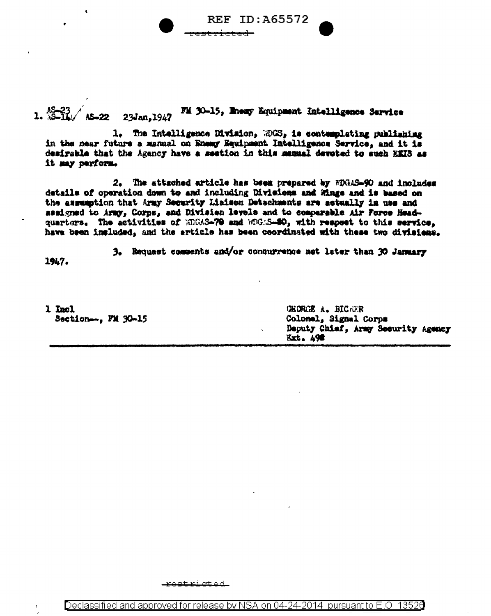**REF ID:A65572** 

 $1.222223$   $23$   $tan, 1947$ FM 30-15, Maany Equipment Intelligence Service

1. The Intelligence Division, 2005, is contemplating publishing in the near future a manual on Enemy Equipment Intelligence Service, and it is desirable that the Agency have a seetion in this manual devoted to such EEIS as it may perform.

2. The attached article has been prepared by FDGAS-90 and includes details of operation down to and including Divisions and Wings and is based on the assumption that Army Security Liaison Detachments are actually in use and assigned to Army, Corps, and Division levels and to comparable Air Force Headquarters. The activities of MDAS-70 and MOAS-80, with respect to this service, have been included, and the article has been coordinated with these two divisions.

3. Request comments and/or conqurrence not later than 30 January

1947.

**CHORCE A. BIC-UR** 1 Incl Section-.., FM 30-15 Colonel, Signal Corps Deputy Chief, Army Security Agency **Ext. 498** 

etricted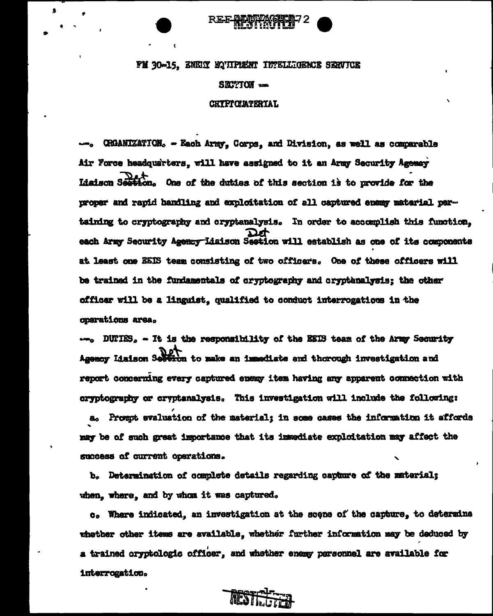## FM 30-15, ENEIT EQUIPMENT INTELLIGENCE SERVICE

## $S\&TTOH -$

## **CRIFICIATERIAL**

CRGANIZATION. - Each Army, Corps, and Division, as well as comparable Air Force headquarters, will have assigned to it an Army Security Agency Liaison Section. One of the duties of this section is to provide for the proper and rapid handling and exploitation of all captured enemy material pertaining to cryptography and cryptanalysis. In order to accomplish this function. each Army Security Agency Liaison Section will establish as one of its components at least one EEIS team consisting of two officers. One of these officers will be trained in the fundamentals of cryptography and cryptanalysis; the other officer will be a linguist, qualified to conduct interrogations in the oparations area.

DUTIES, - It is the responsibility of the EEIS team of the Army Security Agency Lisison Section to make an immediate and thorough investigation and report concerning every captured enemy item having any apparent connection with cryptography or cryptanalysis. This investigation will include the following:

a. Proupt svaluation of the material; in some cases the information it affords may be of such great importance that its immediate exploitation may affect the success of current operations.

b. Determination of complete details regarding capture of the material; when, where, and by whom it was captured.

c. Where indicated, an investigation at the scene of the capture, to determine whether other items are available, whether further information may be deduced by a trained cryptologic officer, and whether enemy parsonnel are available for interrogation.

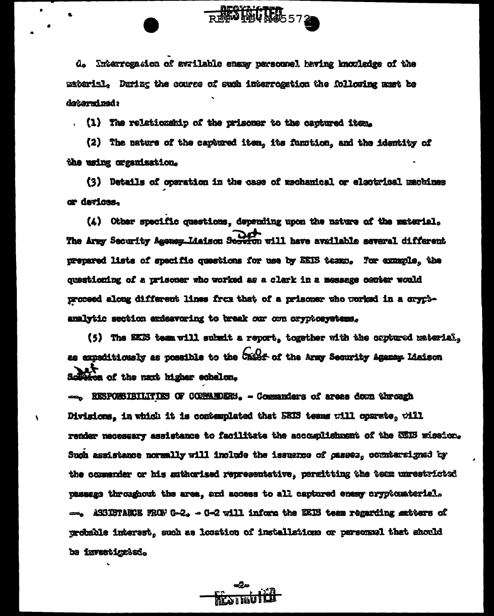d. Interrogation of avrilable ensay personnel having knowledge of the material. During the course of such interrogation the following sust be day arms ned :

**RESTRICTED** 572

. (1) The relationship of the prisoner to the captured item.

(2) The nature of the captured item, its function, and the identity of the using organization.

(3) Details of operation in the case of mechanical or electrical machines cr devices.

(4) Other specific questions, depending upon the nature of the material. The Arry Security Agency Liaison Security will have available several different prepared lists of specific questions for use by EEIS teamp. For example, the questioning of a prisoner who worked as a clark in a message conter would proceed along different lines from that of a prisoner who worked in a crypbanalytic section endeavoring to break our one cryptosystems.

(5) The EEDS team will submit a report, together with the captured material, as expeditionsly as possible to the Caiss of the Army Security Agency Liaison on of the naxt higher echelon.

- RESPONSIBILITIES OF CONNAIDERS. - Commanders of areas down through Divisions, in which it is contemplated that BEIS teams will oparate, will render necessary assistance to facilitate the accomplishment of the ECIB mission. Such assistance normally will include the issuance of casses, commensigned by the commarder or his anthorized representative, permitting the tem unrestricted passage throughout the area, and access to all captured enemy cryptomaterial. -. ASSISTARCE FROM G-2, - G-2 will inform the EEIS team regarding matters of probable interest, such as location of installations or personnel that should be investigated.

 $\overline{\phantom{a}}$